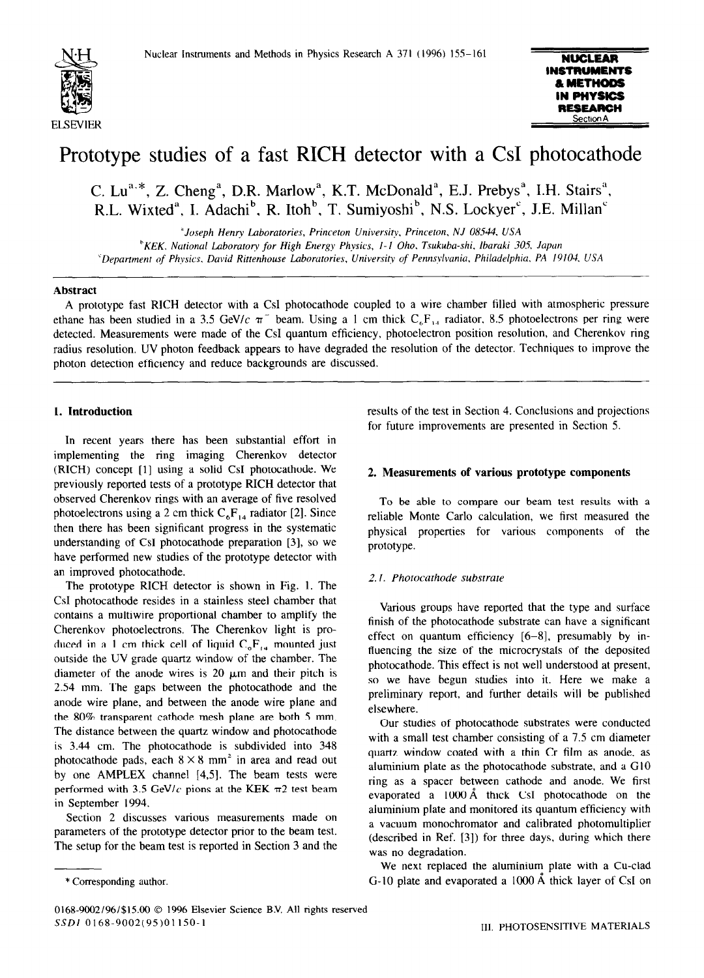

# Prototype studies of a fast RICH detector with a CsI photocathode

C. Lu<sup>a.\*</sup>, Z. Cheng<sup>a</sup>, D.R. Marlow<sup>a</sup>, K.T. McDonald<sup>a</sup>, E.J. Prebys<sup>a</sup>, I.H. Stairs<sup>a</sup>, R.L. Wixted", I. Adachi", R. Itoh", T. Sumiyoshi", N.S. Lockyer", J.E. Millan'

*"Joseph Henry Laboratories, Princeton University. Princeton, NJ 08544. USA*  <sup>h</sup>KEK. National Laboratory for High Energy Physics, 1-1 Oho. Tsukuba-shi, Ibaraki 305, Japan *'Department of Physics. David Rittenhouse Laboratories, University of Pennsylvania, Philadelphia. PA 19104. USA* 

#### **Abstract**

A prototype fast RICH detector with a CsI photocathode coupled to a wire chamber filled with atmospheric pressure ethane has been studied in a 3.5 GeV/c  $\pi$  beam. Using a 1 cm thick  $C_6F_{1,4}$  radiator, 8.5 photoelectrons per ring were detected. Measurements were made of the CsI quantum efficiency, photoelectron position resolution, and Cherenkov ring radius resolution, UV photon feedback appears to have degraded the resolution of the detector. Techniques to improve the photon detection efficiency and reduce backgrounds are discussed.

# **1. Introduction**

In recent years there has been substantial effort in implementing the ring imaging Cherenkov detector (RICH) concept [l] using a solid CsI photocathode. We previously reported tests of a prototype RICH detector that observed Cherenkov rings with an average of five resolved photoelectrons using a 2 cm thick  $C_6F_{14}$  radiator [2]. Since then there has been significant progress in the systematic understanding of CsI photocathode preparation [3], so we have performed new studies of the prototype detector with an improved photocathode.

The prototype RICH detector is shown in Fig. I. The CsI photocathode resides in a stainless steel chamber that contains a multiwire proportional chamber to amplify the Cherenkov photoelectrons. The Cherenkov light is produced in a 1 cm thick cell of liquid  $C_6F_{14}$  mounted just outside the UV grade quartz window of the chamber. The diameter of the anode wires is 20  $\mu$ m and their pitch is 2.54 mm. The gaps between the photocathode and the anode wire plane, and between the anode wire plane and the 80% transparent cathode mesh plane are both 5 mm. The distance between the quartz window and photocathode is 3.44 cm. The photocathode is subdivided into 348 photocathode pads, each  $8 \times 8$  mm<sup>2</sup> in area and read out by one AMPLEX channel [4,5]. The beam tests were performed with 3.5 GeV/c pions at the KEK  $\pi$ 2 test beam in September 1994.

Section 2 discusses various measurements made on parameters of the prototype detector prior to the beam test. The setup for the beam test is reported in Section 3 and the results of the test in Section 4. Conclusions and projections for future improvements are presented in Section 5.

# 2. **Measurements of various prototype components**

To be able to compare our beam test results with a reliable Monte Carlo calculation, we first measured the physical properties for various components of the prototype.

## *2. I. Photocathode substrate*

Various groups have reported that the type and surface finish of the photocathode substrate can have a significant effect on quantum efficiency [6-g], presumably by influencing the size of the microcrystals of the deposited photocathode. This effect is not well understood at present, so we have begun studies into it. Here we make a preliminary report, and further details will be published elsewhere.

Our studies of photocathode substrates were conducted with a small test chamber consisting of a 7.5 cm diameter quartz window coated with a thin Cr film as anode, as aluminium plate as the photocathode substrate, and a GIO ring as a spacer between cathode and anode. We first evaporated a 1000 A thick CsI photocathode on the aluminium plate and monitored its quantum efficiency with a vacuum monochromator and calibrated photomultiplier (described in Ref. [3]) for three days, during which there was no degradation.

We next replaced the aluminium plate with a Cu-clad G-10 plate and evaporated a  $1000 \text{ Å}$  thick layer of CsI on

<sup>\*</sup> Corresponding author.

*<sup>0168-9002/96/\$15.00 0 1996</sup>* Elsevier Science B.V. All rights reserved SSDI 0168-9002(95)01150-1<br>III. PHOTOSENSITIVE MATERIALS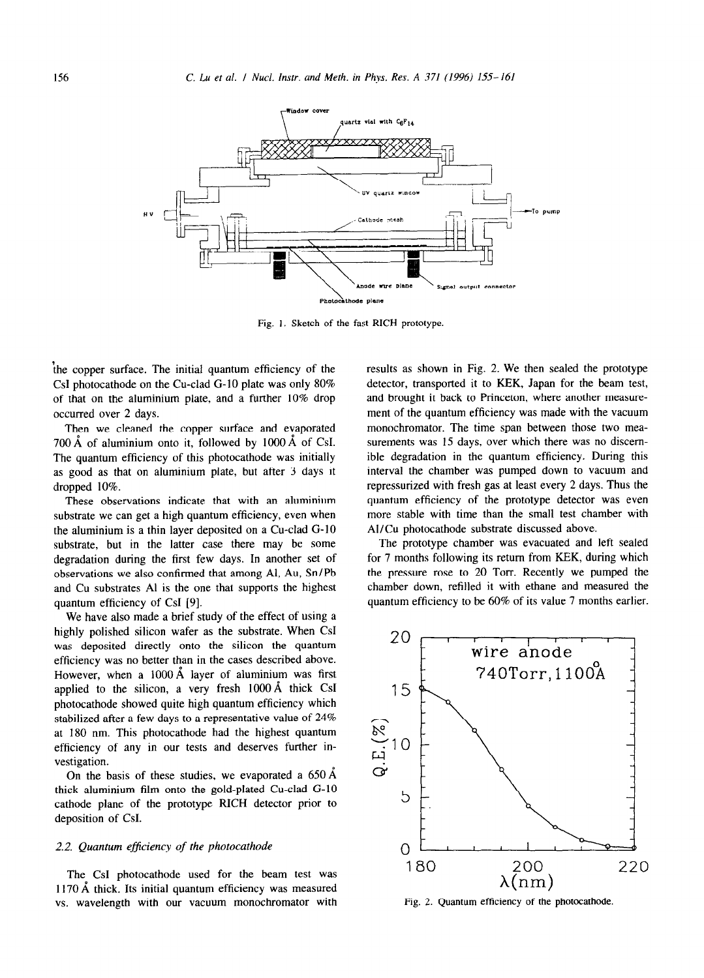

Fig. 1. Sketch of the fast RICH prototype.

\he copper surface. The initial quantum efficiency of the CsI photocathode on the Cu-clad G-10 plate was only 80% of that on the aluminium plate, and a further 10% drop occurred over 2 days.

Then we cleaned the copper surface and evaporated 700 Å of aluminium onto it, followed by 1000 Å of CsI. The quantum efficiency of this photocathode was initially as good as that on aluminium plate, but after 3 days it dropped 10%.

These observations indicate that with an aluminium substrate we can get a high quantum efficiency, even when the aluminium is a thin layer deposited on a Cu-clad G-10 substrate, but in the latter case there may be some degradation during the first few days. In another set of observations we also confirmed that among Al, Au, Sn/Pb and Cu substrates Al is the one that supports the highest quantum efficiency of CsI [9].

We have also made a brief study of the effect of using a highly polished silicon wafer as the substrate. When CsI was deposited directly onto the silicon the quantum efficiency was no better than in the cases described above. However, when a **1000** A layer of aluminium was first applied to the silicon, a very fresh  $1000 \text{ Å}$  thick CsI photocathode showed quite high quantum efficiency which stabilized after a few days to a representative value of 24% at 180 nm. This photocathode had the highest quantum efficiency of any in our tests and deserves further investigation.

On the basis of these studies, we evaporated a  $650 \text{ Å}$ thick aluminium film onto the gold-plated Cu-clad G-10 cathode plane of the prototype RICH detector prior to deposition of CsI.

#### 2.2. *Quantum eficiency of the photocathode*

The CsI photocathode used for the beam test was  $1170 \text{ Å}$  thick. Its initial quantum efficiency was measured vs. wavelength with our vacuum monochromator with results as shown in Fig. 2. We then sealed the prototype detector, transported it to KEK, Japan for the beam test, and brought it back to Princeton, where another measurement of the quantum efficiency was made with the vacuum monochromator. The time span between those two measurements was 15 days, over which there was no discemible degradation in the quantum efficiency. During this interval the chamber was pumped down to vacuum and repressurized with fresh gas at least every 2 days. Thus the quantum efficiency of the prototype detector was even more stable with time than the small test chamber with AI/Cu photocathode substrate discussed above.

The prototype chamber was evacuated and left sealed for 7 months following its return from KEK, during which the pressure rose to 20 Torr. Recently we pumped the chamber down, refilled it with ethane and measured the quantum efficiency to be 60% of its value 7 months earlier.



Fig. 2. Quantum efficiency of the photocathode.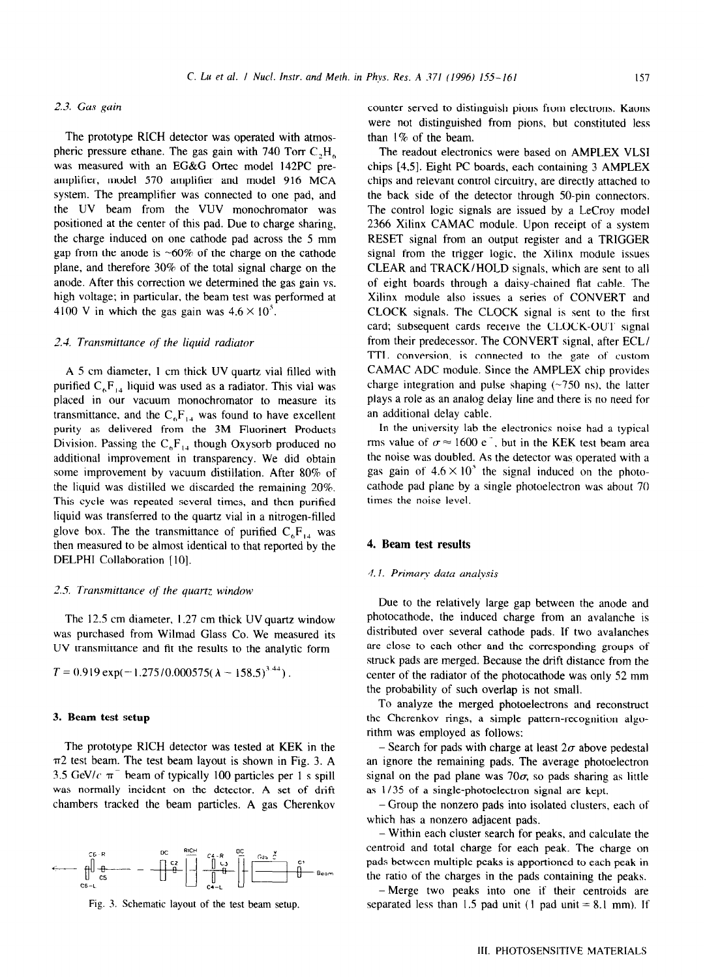#### 2.3. Gus *Ruin*

The prototype RICH detector was operated with atmospheric pressure ethane. The gas gain with 740 Torr  $C_1H_6$ was measured with an EC&G Ortec model 142PC preamplifier, model 570 amplifier and model 916 MCA system. The preamplifier was connected to one pad, and the UV beam from the VUV monochromator was positioned at the center of this pad. Due to charge sharing, the charge induced on one cathode pad across the 5 mm gap from the anode is  $~60\%$  of the charge on the cathode plane, and therefore 30% of the total signal charge on the anode. After this correction we determined the gas gain vs. high voltage; in particular, the beam test was performed at 4100 V in which the gas gain was  $4.6 \times 10^5$ .

# *2.3. Transmittance of the liquid radiator*

A 5 cm diameter, I cm thick UV quartz vial filled with purified  $C_6F_{14}$  liquid was used as a radiator. This vial was placed **in** our vacuum monochromator to measure its transmittance, and the  $C_6F_{14}$  was found to have excellent purity as delivered from the 3M Fluorinert Products Division. Passing the  $C_6F_{14}$  though Oxysorb produced no additional improvement in transparency. We did obtain some improvement by vacuum distillation. After 80% of the liquid was distilled we discarded the remaining 20%. This cycle was repeated several times, and then purified liquid was transferred to the quartz vial in a nitrogen-filled glove box. The the transmittance of purified  $C_6F_{14}$  was then measured to be almost identical to that reported by the DELPHI Collaboration [IO].

#### *2.5 Transmittarlce of the quartz window*

The 12.5 cm diameter, 1.27 cm thick UV quartz window was purchased from Wilmad Glass Co. We measured its UV transmittance and fit the results to the analytic form

$$
T = 0.919 \exp(-1.275/0.000575(\lambda - 158.5)^{3.44}).
$$

#### 3. **Beam test setup**

The prototype RICH detector was tested at KEK in the  $\pi$ 2 test beam. The test beam layout is shown in Fig. 3. A 3.5 GeV/c  $\pi^-$  beam of typically 100 particles per 1 s spill was normally incident on the detector. A set of drift chambers tracked the beam particles. A gas Cherenkov



Fig. 3. Schematic layout of the test beam setup.

counter served to distinguish pions from electrons. Kaons were not distinguished from pions, but constituted less than 1% of the beam.

The readout electronics were based on AMPLEX VLSI chips [4.5]. Eight PC boards, each containing 3 AMPLEX chips and relevant control circuitry, are directly attached to the back side of the detector through 50-pin connectors. The control logic signals are issued by a LeCroy model 2366 Xilinx CAMAC module. Upon receipt of a system RESET signal from an output register and a TRIGGER signal from the trigger logic, the Xilinx module issues CLEAR and TRACK/HOLD signals, which are sent to all of eight boards through a daisy-chained flat cable. The Xilinx module also issues a series of CONVERT and CLOCK signals. The CLOCK signal is sent to the first card; subsequent cards receive the CLOCK-OUT signal from their predecessor. The CONVERT signal. after ECL/ TTL conversion, is connected to the gate of custom CAMAC ADC module. **Since** the AMPLEX chip provides charge integration and pulse shaping  $(\sim 750 \text{ ns})$ , the latter plays a role as an analog delay line and there is no need for an additional delay cable.

In the university lab the electronics noise had a typical rms value of  $\sigma \approx 1600 \text{ e}^{-1}$ , but in the KEK test beam area the noise was doubled. As the detector was operated with a gas gain of  $4.6 \times 10^5$  the signal induced on the photocathode pad plane by a single photoelectron was about 70 times the noise level.

# 4. **Beam test results**

# **4.1. Primary data analysis**

Due to the relatively large gap between the anode and photocathode, the induced charge from an avalanche is distributed over several cathode pads. If two avalanches are close to each other and the corresponding groups of struck pads are merged. Because the drift distance from the center of the radiator of the photocathode was **only 52** mm the probability of such overlap is not small.

To analyze the merged photoelectrons and reconstruct the Cherenkov rings, a simple pattern-recognition algorithm was employed as follows:

- Search for pads with charge at least  $2\sigma$  above pedestal an ignore the remaining pads. The average photoelectron signal on the pad plane was 70 $\sigma$ , so pads sharing as little as I /35 of a single-photoelectron signal are kept.

- Group the nonzero pads into isolated clusters. each of which has a nonzero adjacent pads.

- Within each cluster search for peaks, and calculate the centroid and total charge for each peak. The charge on pads between multiple peaks is apportioned to each peak in the ratio of the charges in the pads containing the peaks.

- Merge two peaks into one if their centroids are separated less than 1.5 pad unit  $(1 \text{ pad unit} = 8.1 \text{ mm})$ . If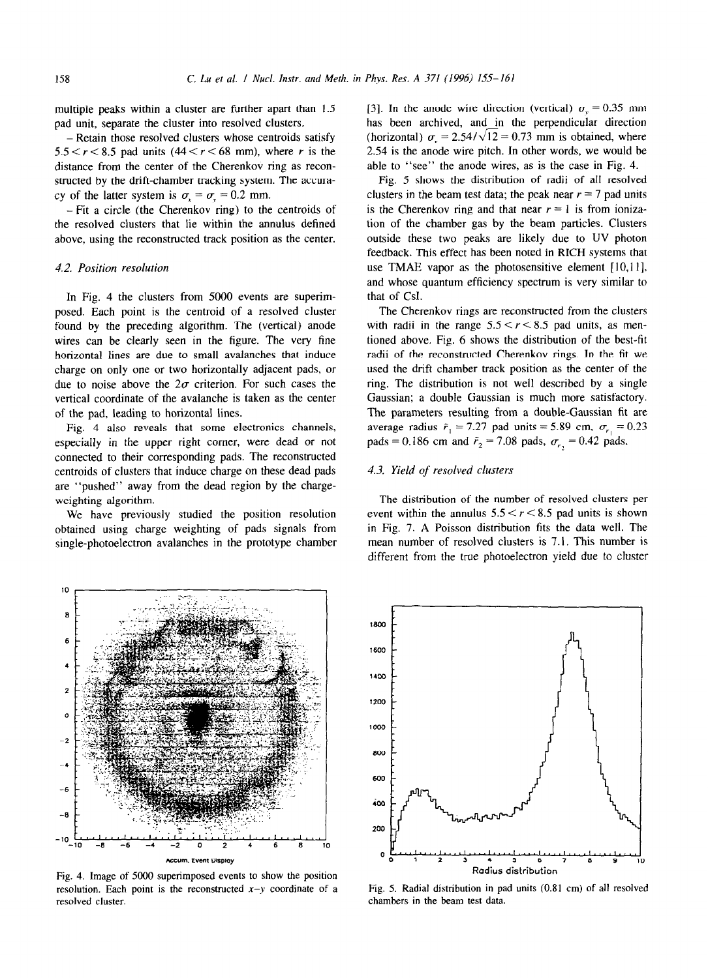multiple peaks within a cluster are further apart than 1.5 pad unit, separate the cluster into resolved clusters.

- Retain those resolved clusters whose centroids satisfy  $5.5 < r < 8.5$  pad units  $(44 < r < 68$  mm), where r is the distance from the center of the Cherenkov ring as reconstructed by the drift-chamber tracking system. The accuracy of the latter system is  $\sigma_r = \sigma_v = 0.2$  mm.

- Fit a circle (the Cherenkov ring) to the centroids of the resolved clusters that lie within the annulus defined above, using the reconstructed track position as the center.

#### 4.2. *Position resolution*

In Fig. 4 the clusters from 5000 events are superimposed. Each point is the centroid of a resolved cluster found by the preceding algorithm. The (vertical) anode wires can be clearly seen in the figure. The very fine horizontal lines are due to small avalanches that induce charge on only one or two horizontally adjacent pads, or due to noise above the  $2\sigma$  criterion. For such cases the vertical coordinate of the avalanche is taken as the center of the pad, leading to horizontal lines.

Fig. 4 also reveals that some electronics channels, especially in the upper right comer, were dead or not connected to their corresponding pads. The reconstructed centroids of clusters that induce charge on these dead pads are "pushed" away from the dead region by the chargeweighting algorithm.

We have previously studied the position resolution obtained using charge weighting of pads signals from single-photoelectron avalanches in the prototype chamber [3]. In the anode wire direction (vertical)  $\sigma_y = 0.35$  mm has been archived, and in the perpendicular direction (horizontal)  $\sigma_r = 2.54/\sqrt{12} = 0.73$  mm is obtained, where 2.54 is the anode wire pitch. In other words, we would be able to "see" the anode wires, as is the case in Fig. 4.

Fig. 5 shows the distribution of radii of all resolved clusters in the beam test data; the peak near  $r = 7$  pad units is the Cherenkov ring and that near  $r = 1$  is from ionization of the chamber gas by the beam particles. Clusters outside these two peaks are likely due to LJV photon feedback. This effect has been noted in RICH systems that use TMAE vapor as the photosensitive element  $[10,11]$ , and whose quantum efficiency spectrum is very similar to that of Csl.

The Cherenkov rings are reconstructed from the clusters with radii in the range  $5.5 < r < 8.5$  pad units, as mentioned above. Fig. 6 shows the distribution of the best-fit radii of the reconstructed Cherenkov rings. In the fit we used the drift chamber track position as the center of the ring. The distribution is not well described by a single Gaussian; a double Gaussian is much more satisfactory. The parameters resulting from a double-Gaussian fit are average radius  $\bar{r}_1 = 7.27$  pad units = 5.89 cm,  $\sigma_{r_1} = 0.23$ pads = 0.186 cm and  $\bar{r}_2$  = 7.08 pads,  $\sigma_{r_2}$  = 0.42 pads.

# 4.3. *Yield of resolved clusters*

The distribution of the number of resolved clusters per event within the annulus  $5.5 < r < 8.5$  pad units is shown in Fig. 7. A Poisson distribution fits the data well. The mean number of resolved clusters is 7.1. This number is different from the true photoelectron yield due to cluster





Fig. 5. Radial distribution in pad units (0.81 cm) of all resolved chambers in the beam test data.

10 8

6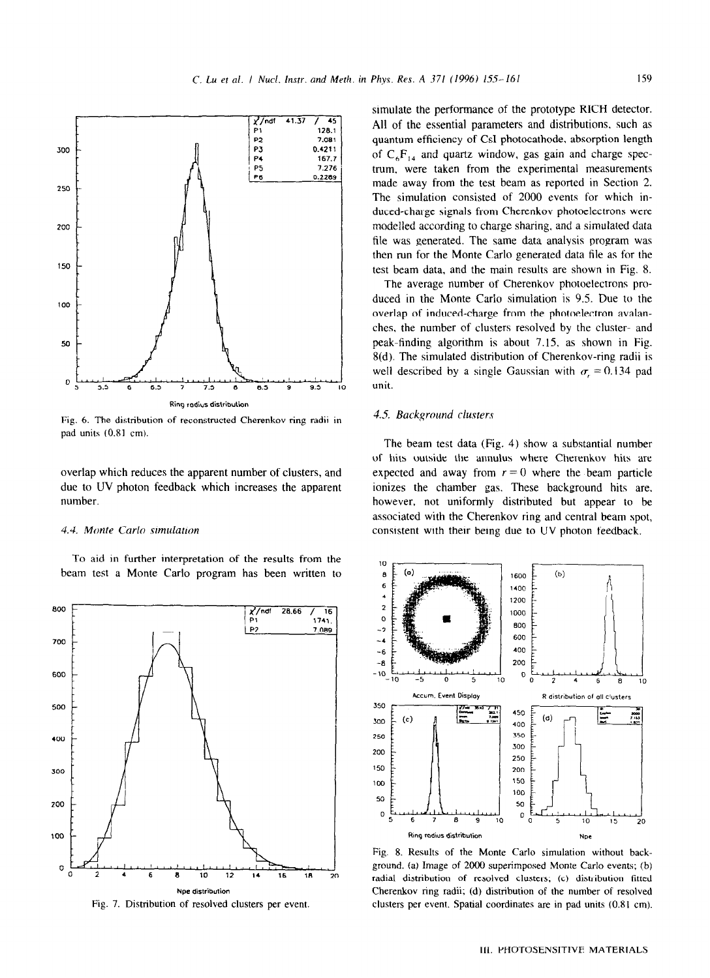

Fig. 6. The distribution of reconstructed Cherenkov-ring radii in pad units (0.81 cm).

overlap which reduces the apparent number of clusters, and due to UV photon feedback which increases the apparent number.

#### 4.4. *Monte Carlo simulation*

To aid in further interpretation of the results from the beam test a Monte Carlo program has been written to



Fig. 7. Distribution of resolved clusters per event.

simulate the performance of the prototype RICH detector. All of the essential parameters and distributions. such as quantum efficiency of CsI photocathode. absorption length of  $C_6F_{14}$  and quartz window, gas gain and charge spectrum, were taken from the experimental measurements made away from the test beam as reported in Section 2. The simulation consisted of 2000 events for which induced-charge signals from Cherenkov photoelectrons were modelled according to charge sharing. and a simulated data file was generated. The same data analysis program was then run for the Monte Carlo generated data file as for the test beam data, and the main results are shown in Fig. 8.

The average number of Cherenkov photoelectrons produced in the Monte Carlo simulation is 9.5. Due to the overlap of induced-charge from the photoelectron avalanches, the number of clusters resolved by the cluster- and peak-finding algorithm is about 7.15, as shown in Fig. 8(d). The simulated distribution of Cherenkov-ring radii is well described by a single Gaussian with  $\sigma_r = 0.134$  pad unit.

# *3.5 Background clusters*

The beam test data (Fig. 4) show a substantial number of hits outside the annulus where Cherenkov hits are expected and away from  $r = 0$  where the beam particle ionizes the chamber gas. These background hits are, however, not uniformly distributed but appear to be associated with the Cherenkov ring and central beam spot, consistent with their being due to UV photon feedback.



Fig. 8. Results of the Monte Carlo simulation without background. *(a)* Image of 2000 superimposed Monte Carlo events; (b) radial distribution of resolved clusters; (c) distribution fitted Cherenkov ring radii; (d) distribution of the number of resolved clusters per event. Spatial coordinates are in pad units (OS1 cm).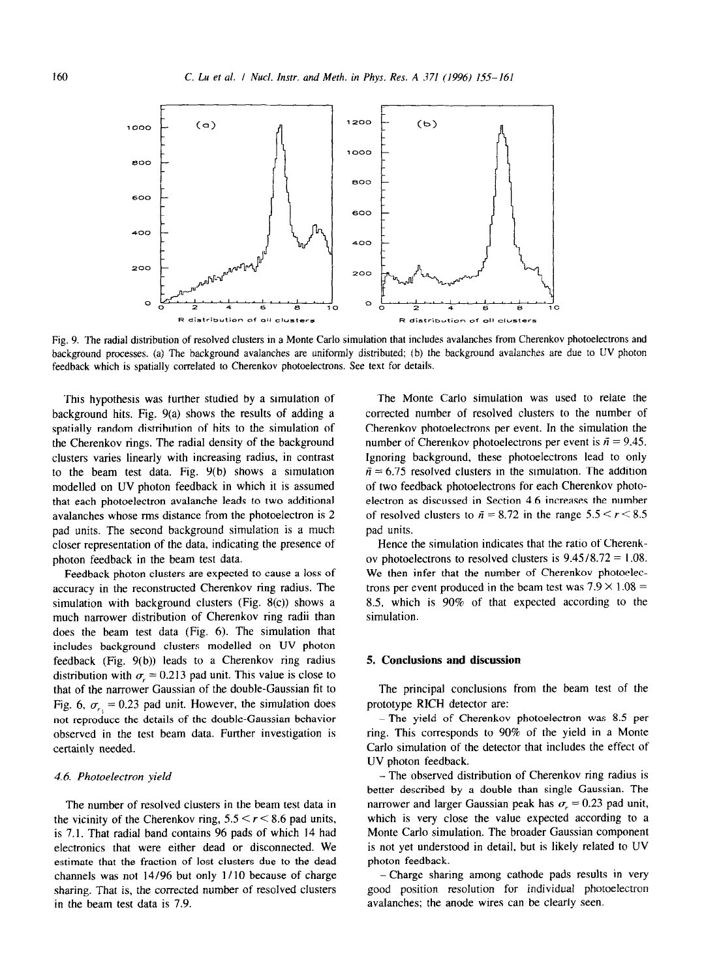

Fig. *9. The* radial distribution of resolved clusters in a Monte Carlo simulation that includes avalanches from Cherenkov photoelectrons and background processes. (a) The background avalanches are uniformly distributed; (b) the background avalanches are due to UV photon feedback which is spatially correlated to Cherenkov photoelectrons. See text for details.

This hypothesis was further studied by a simulation of background hits. Fig. 9(a) shows the results of adding a spatially random distribution of hits to the simulation of the Cherenkov rings. The radial density of the background clusters varies linearly with increasing radius, in contrast to the beam test data. Fig. 9(b) shows a simulation modelled on UV photon feedback in which it is assumed that each photoelectron avalanche leads to two additional avalanches whose rms distance from the photoelectron is 2 pad units. The second background simulation is a much closer representation of the data, indicating the presence of photon feedback in the beam test data.

Feedback photon clusters are expected to cause a loss of accuracy in the reconstructed Cherenkov ring radius. The simulation with background clusters (Fig. 8(c)) shows a much narrower distribution of Cherenkov ring radii than does the beam test data (Fig. 6). The simulation that includes background clusters modelled on UV photon feedback (Fig. 9(b)) leads to a Cherenkov ring radius distribution with  $\sigma_r = 0.213$  pad unit. This value is close to that of the narrower Gaussian of the double-Gaussian fit to Fig. 6,  $\sigma_{r} = 0.23$  pad unit. However, the simulation does not reproduce the details of the double-Gaussian behavior observed in the test beam data. Further investigation is certainly needed.

#### 4.6 *Photoelectron yield*

The number of resolved clusters in the beam test data in the vicinity of the Cherenkov ring,  $5.5 \le r \le 8.6$  pad units, is 7.1. That radial band contains 96 pads of which 14 had electronics that were either dead or disconnected. We estimate that the fraction of lost clusters due to the dead channels was not 14/96 but only 1/ 10 because of charge sharing. That is, the corrected number of resolved clusters in the beam test data is 7.9.

The Monte Carlo simulation was used to relate the corrected number of resolved clusters to the number of Cherenkov photoelectrons per event. In the simulation the number of Cherenkov photoelectrons per event is  $\bar{n} = 9.45$ . Ignoring background, these photoelectrons lead to only  $\bar{n} = 6.75$  resolved clusters in the simulation. The addition of two feedback photoelectrons for each Cherenkov photoelectron as discussed in Section 4.6 increases the number of resolved clusters to  $\bar{n} = 8.72$  in the range  $5.5 \le r \le 8.5$ pad units.

Hence the simulation indicates that the ratio of Cherenkov photoelectrons to resolved clusters is  $9.45/8.72 = 1.08$ . We then infer that the number of Cherenkov photoelectrons per event produced in the beam test was  $7.9 \times 1.08 =$ 8.5, which is 90% of that expected according to the simulation.

# **5. Conclusions and discussion**

The principal conclusions from the beam test of the prototype RICH detector are:

- The yield of Cherenkov photoelectron was 8.5 per ring. This corresponds to 90% of the yield in a Monte Carlo simulation of the detector that includes the effect of UV photon feedback.

- The observed distribution of Cherenkov ring radius is better described by a double than single Gaussian. The narrower and larger Gaussian peak has  $\sigma_r = 0.23$  pad unit, which is very close the value expected according to a Monte Carlo simulation. The broader Gaussian component is not yet understood in detail, but is likely related to UV photon feedback.

-Charge sharing among cathode pads results in very good position resolution for individual photoelectron avalanches; the anode wires can be clearly seen.